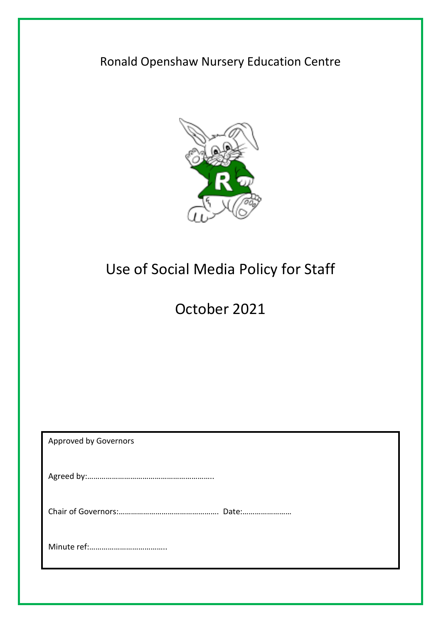Ronald Openshaw Nursery Education Centre



# Use of Social Media Policy for Staff

## October 2021

| <b>Approved by Governors</b> |
|------------------------------|
|                              |
|                              |
|                              |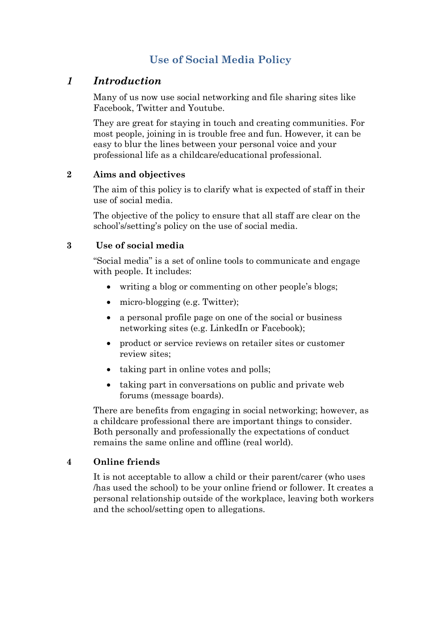## **Use of Social Media Policy**

### *1 Introduction*

Many of us now use social networking and file sharing sites like Facebook, Twitter and Youtube.

They are great for staying in touch and creating communities. For most people, joining in is trouble free and fun. However, it can be easy to blur the lines between your personal voice and your professional life as a childcare/educational professional.

#### **2 Aims and objectives**

The aim of this policy is to clarify what is expected of staff in their use of social media.

The objective of the policy to ensure that all staff are clear on the school's/setting's policy on the use of social media.

#### **3 Use of social media**

"Social media" is a set of online tools to communicate and engage with people. It includes:

- writing a blog or commenting on other people's blogs;
- micro-blogging (e.g. Twitter);
- a personal profile page on one of the social or business networking sites (e.g. LinkedIn or Facebook);
- product or service reviews on retailer sites or customer review sites;
- taking part in online votes and polls;
- taking part in conversations on public and private web forums (message boards).

There are benefits from engaging in social networking; however, as a childcare professional there are important things to consider. Both personally and professionally the expectations of conduct remains the same online and offline (real world).

#### **4 Online friends**

It is not acceptable to allow a child or their parent/carer (who uses /has used the school) to be your online friend or follower. It creates a personal relationship outside of the workplace, leaving both workers and the school/setting open to allegations.